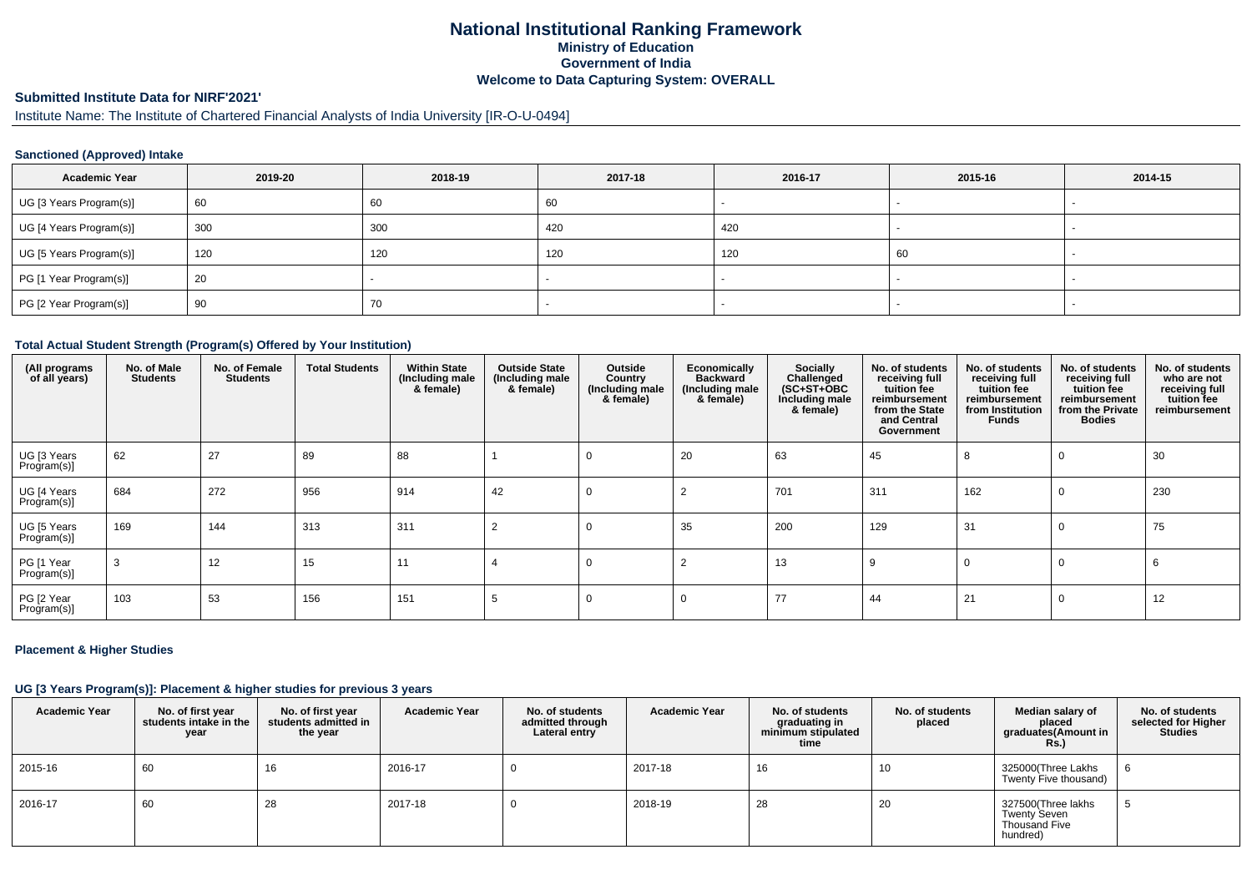# **National Institutional Ranking FrameworkMinistry of Education Government of IndiaWelcome to Data Capturing System: OVERALL**

# **Submitted Institute Data for NIRF'2021'**

# Institute Name: The Institute of Chartered Financial Analysts of India University [IR-O-U-0494]

### **Sanctioned (Approved) Intake**

| <b>Academic Year</b>    | 2019-20 | 2018-19 | 2017-18 | 2016-17 | 2015-16 | 2014-15                  |
|-------------------------|---------|---------|---------|---------|---------|--------------------------|
| UG [3 Years Program(s)] | 60      | 60      | 60      |         |         |                          |
| UG [4 Years Program(s)] | 300     | 300     | 420     | 420     |         |                          |
| UG [5 Years Program(s)] | 120     | 120     | 120     | 120     | 60      | $\overline{\phantom{a}}$ |
| PG [1 Year Program(s)]  | 20      |         |         |         |         |                          |
| PG [2 Year Program(s)]  | 90      | 70      |         |         |         |                          |

#### **Total Actual Student Strength (Program(s) Offered by Your Institution)**

| (All programs<br>of all years) | No. of Male<br><b>Students</b> | No. of Female<br>Students | <b>Total Students</b> | <b>Within State</b><br>(Including male<br>& female) | <b>Outside State</b><br>(Including male<br>& female) | Outside<br>Country<br>(Including male<br>& female) | Economically<br><b>Backward</b><br>(Including male<br>& female) | Socially<br>Challenged<br>$(SC+ST+OBC)$<br>Including male<br>& female) | No. of students<br>receiving full<br>tuition fee<br>reimbursement<br>from the State<br>and Central<br>Government | No. of students<br>receiving full<br>tuition fee<br>reimbursement<br>from Institution<br>Funds | No. of students<br>receiving full<br>tuition fee<br>reimbursement<br>from the Private<br><b>Bodies</b> | No. of students<br>who are not<br>receiving full<br>tuition fee<br>reimbursement |
|--------------------------------|--------------------------------|---------------------------|-----------------------|-----------------------------------------------------|------------------------------------------------------|----------------------------------------------------|-----------------------------------------------------------------|------------------------------------------------------------------------|------------------------------------------------------------------------------------------------------------------|------------------------------------------------------------------------------------------------|--------------------------------------------------------------------------------------------------------|----------------------------------------------------------------------------------|
| UG [3 Years<br>Program(s)]     | 62                             | 27                        | 89                    | 88                                                  |                                                      | 0                                                  | 20                                                              | 63                                                                     | 45                                                                                                               | 8                                                                                              | $\Omega$                                                                                               | 30                                                                               |
| UG [4 Years<br>Program(s)]     | 684                            | 272                       | 956                   | 914                                                 | 42                                                   | $\Omega$                                           |                                                                 | 701                                                                    | 311                                                                                                              | 162                                                                                            | $\Omega$                                                                                               | 230                                                                              |
| UG [5 Years<br>Program(s)]     | 169                            | 144                       | 313                   | 311                                                 | 2                                                    | $\Omega$                                           | 35                                                              | 200                                                                    | 129                                                                                                              | 31                                                                                             | $\Omega$                                                                                               | 75                                                                               |
| PG [1 Year<br>Program(s)]      |                                | 12                        | 15                    | 11                                                  |                                                      | 0                                                  |                                                                 | 13                                                                     | 9                                                                                                                | 0                                                                                              | $\Omega$                                                                                               | 6                                                                                |
| PG [2 Year<br>Program(s)]      | 103                            | 53                        | 156                   | 151                                                 |                                                      |                                                    | $\Omega$                                                        | 77                                                                     | 44                                                                                                               | 21                                                                                             | $\Omega$                                                                                               | 12                                                                               |

### **Placement & Higher Studies**

### **UG [3 Years Program(s)]: Placement & higher studies for previous 3 years**

| <b>Academic Year</b> | No. of first year<br>students intake in the<br>year | No. of first year<br>students admitted in<br>the year | <b>Academic Year</b> | No. of students<br>admitted through<br>Lateral entry | <b>Academic Year</b> | No. of students<br>graduating in<br>minimum stipulated<br>time | No. of students<br>placed | Median salary of<br>placed<br>graduates(Amount in<br><b>Rs.)</b> | No. of students<br>selected for Higher<br><b>Studies</b> |
|----------------------|-----------------------------------------------------|-------------------------------------------------------|----------------------|------------------------------------------------------|----------------------|----------------------------------------------------------------|---------------------------|------------------------------------------------------------------|----------------------------------------------------------|
| 2015-16              | 60                                                  | 16                                                    | 2016-17              |                                                      | 2017-18              | 16                                                             | 10                        | 325000(Three Lakhs<br>Twenty Five thousand)                      |                                                          |
| 2016-17              | 60                                                  | 28                                                    | 2017-18              |                                                      | 2018-19              | 28                                                             | 20                        | 327500(Three lakhs<br>Twenty Seven<br>Thousand Five<br>hundred)  |                                                          |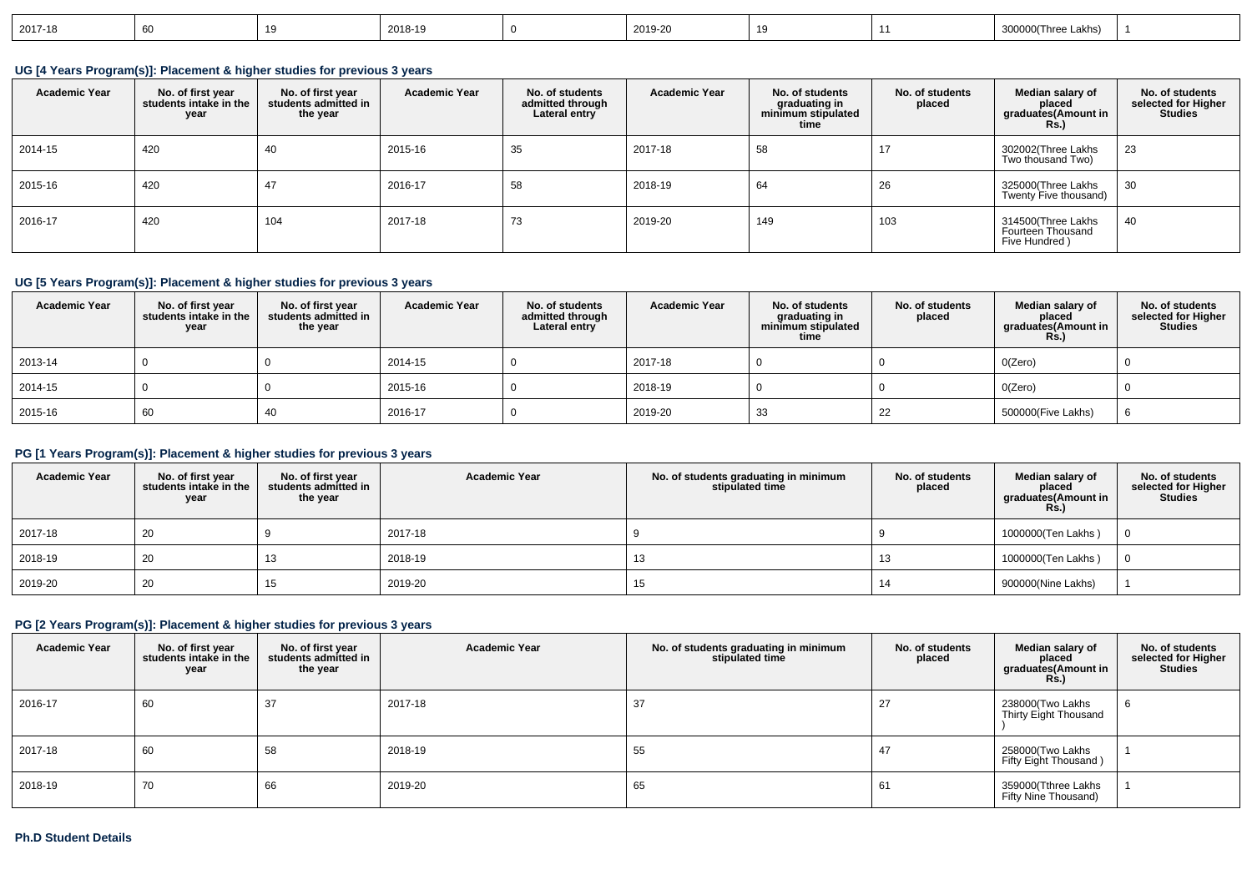| 2017-18 |  |  | 2018-19 |  | 2019-20 |  |  | $T_{\text{max}}$<br>∖ Lakhs ٿ<br>$- - -$ |  |
|---------|--|--|---------|--|---------|--|--|------------------------------------------|--|
|---------|--|--|---------|--|---------|--|--|------------------------------------------|--|

**UG [4 Years Program(s)]: Placement & higher studies for previous 3 years**

| <b>Academic Year</b> | No. of first year<br>students intake in the<br>year | No. of first vear<br>students admitted in<br>the year | <b>Academic Year</b> | No. of students<br>admitted through<br>Lateral entry | <b>Academic Year</b> | No. of students<br>graduating in<br>minimum stipulated<br>time | No. of students<br>placed | Median salary of<br>placed<br>graduates(Amount in<br>Rs.) | No. of students<br>selected for Higher<br><b>Studies</b> |
|----------------------|-----------------------------------------------------|-------------------------------------------------------|----------------------|------------------------------------------------------|----------------------|----------------------------------------------------------------|---------------------------|-----------------------------------------------------------|----------------------------------------------------------|
| 2014-15              | 420                                                 | 40                                                    | 2015-16              | 35                                                   | 2017-18              | 58                                                             |                           | 302002(Three Lakhs<br>Two thousand Two)                   | 23                                                       |
| 2015-16              | 420                                                 | 47                                                    | 2016-17              | 58                                                   | 2018-19              | 64                                                             | 26                        | 325000(Three Lakhs<br>Twenty Five thousand)               | 30                                                       |
| 2016-17              | 420                                                 | 104                                                   | 2017-18              | 73                                                   | 2019-20              | 149                                                            | 103                       | 314500(Three Lakhs<br>Fourteen Thousand<br>Five Hundred)  | 40                                                       |

## **UG [5 Years Program(s)]: Placement & higher studies for previous 3 years**

| <b>Academic Year</b> | No. of first year<br>students intake in the<br>year | No. of first year<br>students admitted in<br>the year | <b>Academic Year</b> | No. of students<br>admitted through<br>Lateral entry | <b>Academic Year</b> | No. of students<br>graduating in<br>minimum stipulated<br>time | No. of students<br>placed | Median salary of<br>placed<br>graduates(Amount in<br><b>Rs.)</b> | No. of students<br>selected for Higher<br><b>Studies</b> |
|----------------------|-----------------------------------------------------|-------------------------------------------------------|----------------------|------------------------------------------------------|----------------------|----------------------------------------------------------------|---------------------------|------------------------------------------------------------------|----------------------------------------------------------|
| 2013-14              |                                                     |                                                       | 2014-15              |                                                      | 2017-18              |                                                                |                           | O(Zero)                                                          |                                                          |
| 2014-15              |                                                     |                                                       | 2015-16              |                                                      | 2018-19              |                                                                |                           | O(Zero)                                                          |                                                          |
| 2015-16              | 60                                                  | 40                                                    | 2016-17              |                                                      | 2019-20              | 33                                                             | 22                        | 500000(Five Lakhs)                                               |                                                          |

## **PG [1 Years Program(s)]: Placement & higher studies for previous 3 years**

| <b>Academic Year</b> | No. of first year<br>students intake in the<br>year | No. of first year<br>students admitted in<br>the year | <b>Academic Year</b> | No. of students graduating in minimum<br>stipulated time | No. of students<br>placed | Median salary of<br>placed<br>graduates(Amount in<br><b>Rs.)</b> | No. of students<br>selected for Higher<br><b>Studies</b> |
|----------------------|-----------------------------------------------------|-------------------------------------------------------|----------------------|----------------------------------------------------------|---------------------------|------------------------------------------------------------------|----------------------------------------------------------|
| 2017-18              | 20                                                  |                                                       | 2017-18              |                                                          |                           | 1000000(Ten Lakhs)                                               |                                                          |
| 2018-19              | 20                                                  | 13                                                    | 2018-19              | 13                                                       | 13                        | 1000000(Ten Lakhs)                                               |                                                          |
| 2019-20              | 20                                                  | 15                                                    | 2019-20              | 15                                                       | 14                        | 900000(Nine Lakhs)                                               |                                                          |

## **PG [2 Years Program(s)]: Placement & higher studies for previous 3 years**

| <b>Academic Year</b> | No. of first year<br>students intake in the<br>year | No. of first year<br>students admitted in<br>the year | <b>Academic Year</b> | No. of students graduating in minimum<br>stipulated time | No. of students<br>placed | Median salary of<br>placed<br>graduates(Amount in<br><b>Rs.)</b> | No. of students<br>selected for Higher<br><b>Studies</b> |
|----------------------|-----------------------------------------------------|-------------------------------------------------------|----------------------|----------------------------------------------------------|---------------------------|------------------------------------------------------------------|----------------------------------------------------------|
| 2016-17              | 60                                                  | 37                                                    | 2017-18              | 37                                                       | 27                        | 238000(Two Lakhs<br>Thirty Eight Thousand                        | 6                                                        |
| 2017-18              | 60                                                  | 58                                                    | 2018-19              | 55                                                       | 47                        | 258000(Two Lakhs<br>Fifty Eight Thousand)                        |                                                          |
| 2018-19              | 70                                                  | 66                                                    | 2019-20              | 65                                                       | 61                        | 359000(Tthree Lakhs<br>Fifty Nine Thousand)                      |                                                          |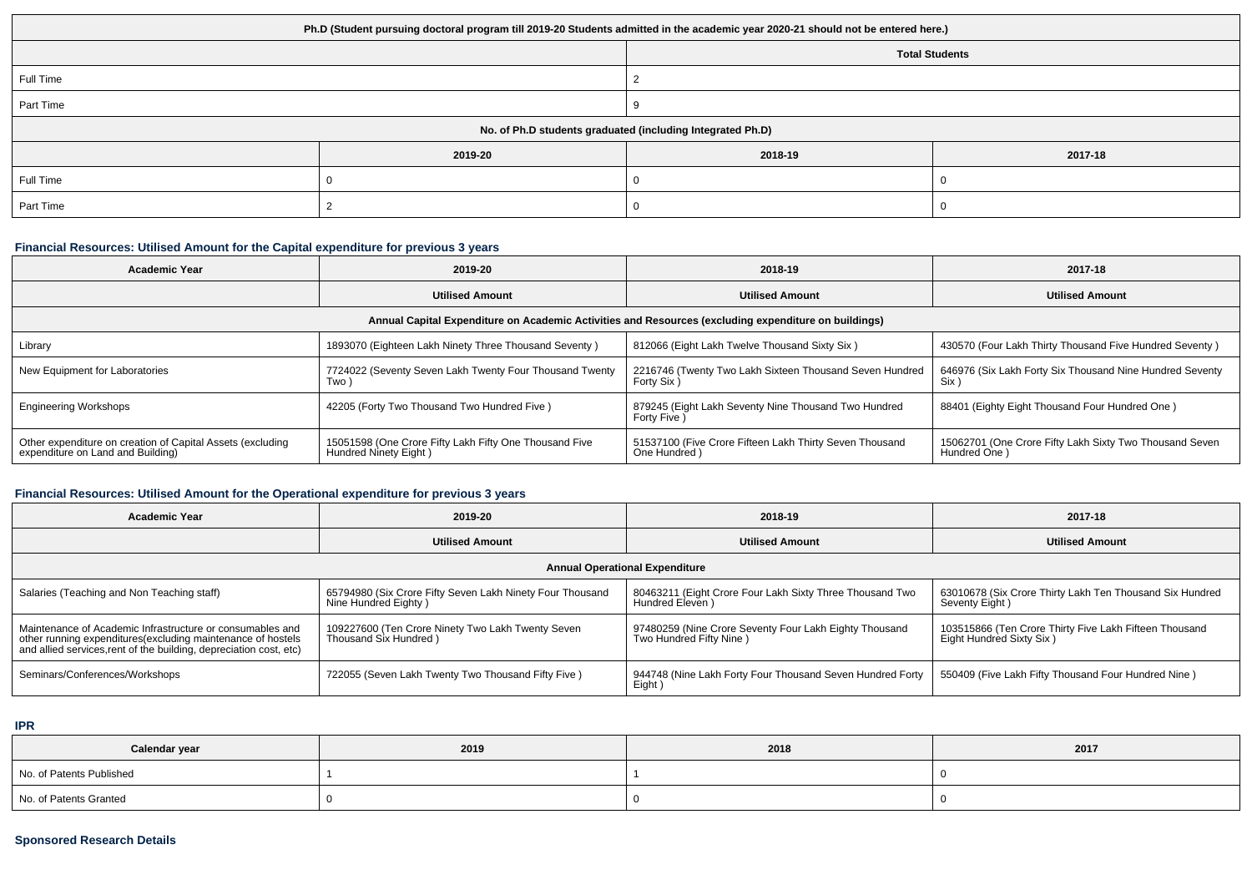| Ph.D (Student pursuing doctoral program till 2019-20 Students admitted in the academic year 2020-21 should not be entered here.) |                                                            |                       |         |  |  |  |  |  |  |
|----------------------------------------------------------------------------------------------------------------------------------|------------------------------------------------------------|-----------------------|---------|--|--|--|--|--|--|
|                                                                                                                                  |                                                            | <b>Total Students</b> |         |  |  |  |  |  |  |
| Full Time                                                                                                                        |                                                            |                       |         |  |  |  |  |  |  |
| Part Time                                                                                                                        |                                                            |                       |         |  |  |  |  |  |  |
|                                                                                                                                  | No. of Ph.D students graduated (including Integrated Ph.D) |                       |         |  |  |  |  |  |  |
|                                                                                                                                  | 2019-20                                                    | 2018-19               | 2017-18 |  |  |  |  |  |  |
| Full Time                                                                                                                        |                                                            |                       |         |  |  |  |  |  |  |
| Part Time                                                                                                                        |                                                            |                       |         |  |  |  |  |  |  |

### **Financial Resources: Utilised Amount for the Capital expenditure for previous 3 years**

| <b>Academic Year</b>                                                                                 | 2019-20                                                                         | 2018-19                                                                 | 2017-18                                                                 |  |  |  |  |  |  |
|------------------------------------------------------------------------------------------------------|---------------------------------------------------------------------------------|-------------------------------------------------------------------------|-------------------------------------------------------------------------|--|--|--|--|--|--|
|                                                                                                      | <b>Utilised Amount</b>                                                          | <b>Utilised Amount</b>                                                  | <b>Utilised Amount</b>                                                  |  |  |  |  |  |  |
| Annual Capital Expenditure on Academic Activities and Resources (excluding expenditure on buildings) |                                                                                 |                                                                         |                                                                         |  |  |  |  |  |  |
| Library                                                                                              | 1893070 (Eighteen Lakh Ninety Three Thousand Seventy)                           | 812066 (Eight Lakh Twelve Thousand Sixty Six)                           | 430570 (Four Lakh Thirty Thousand Five Hundred Seventy)                 |  |  |  |  |  |  |
| New Equipment for Laboratories                                                                       | 7724022 (Seventy Seven Lakh Twenty Four Thousand Twenty<br>Two '                | 2216746 (Twenty Two Lakh Sixteen Thousand Seven Hundred<br>Forty Six)   | 646976 (Six Lakh Forty Six Thousand Nine Hundred Seventy<br>Six )       |  |  |  |  |  |  |
| <b>Engineering Workshops</b>                                                                         | 42205 (Forty Two Thousand Two Hundred Five)                                     | 879245 (Eight Lakh Seventy Nine Thousand Two Hundred<br>Forty Five)     | 88401 (Eighty Eight Thousand Four Hundred One)                          |  |  |  |  |  |  |
| Other expenditure on creation of Capital Assets (excluding<br>expenditure on Land and Building)      | 15051598 (One Crore Fifty Lakh Fifty One Thousand Five<br>Hundred Ninety Eight) | 51537100 (Five Crore Fifteen Lakh Thirty Seven Thousand<br>One Hundred) | 15062701 (One Crore Fifty Lakh Sixty Two Thousand Seven<br>Hundred One) |  |  |  |  |  |  |

## **Financial Resources: Utilised Amount for the Operational expenditure for previous 3 years**

| <b>Academic Year</b>                                                                                                                                                                            | 2019-20                                                                           | 2018-19                                                                           | 2017-18                                                                            |  |  |  |  |  |  |
|-------------------------------------------------------------------------------------------------------------------------------------------------------------------------------------------------|-----------------------------------------------------------------------------------|-----------------------------------------------------------------------------------|------------------------------------------------------------------------------------|--|--|--|--|--|--|
|                                                                                                                                                                                                 | <b>Utilised Amount</b>                                                            |                                                                                   | <b>Utilised Amount</b>                                                             |  |  |  |  |  |  |
| <b>Annual Operational Expenditure</b>                                                                                                                                                           |                                                                                   |                                                                                   |                                                                                    |  |  |  |  |  |  |
| Salaries (Teaching and Non Teaching staff)                                                                                                                                                      | 65794980 (Six Crore Fifty Seven Lakh Ninety Four Thousand<br>Nine Hundred Eighty) | 80463211 (Eight Crore Four Lakh Sixty Three Thousand Two<br>Hundred Eleven)       | 63010678 (Six Crore Thirty Lakh Ten Thousand Six Hundred<br>Seventy Eight)         |  |  |  |  |  |  |
| Maintenance of Academic Infrastructure or consumables and<br>other running expenditures (excluding maintenance of hostels<br>and allied services, rent of the building, depreciation cost, etc) | 109227600 (Ten Crore Ninety Two Lakh Twenty Seven<br>Thousand Six Hundred )       | 97480259 (Nine Crore Seventy Four Lakh Eighty Thousand<br>Two Hundred Fifty Nine) | 103515866 (Ten Crore Thirty Five Lakh Fifteen Thousand<br>Eight Hundred Sixty Six) |  |  |  |  |  |  |
| Seminars/Conferences/Workshops                                                                                                                                                                  | 722055 (Seven Lakh Twenty Two Thousand Fifty Five)                                | 944748 (Nine Lakh Forty Four Thousand Seven Hundred Forty<br>Eight)               | 550409 (Five Lakh Fifty Thousand Four Hundred Nine)                                |  |  |  |  |  |  |

**IPR**

| Calendar year            | 2019 | 2018 | 2017 |
|--------------------------|------|------|------|
| No. of Patents Published |      |      |      |
| No. of Patents Granted   |      |      |      |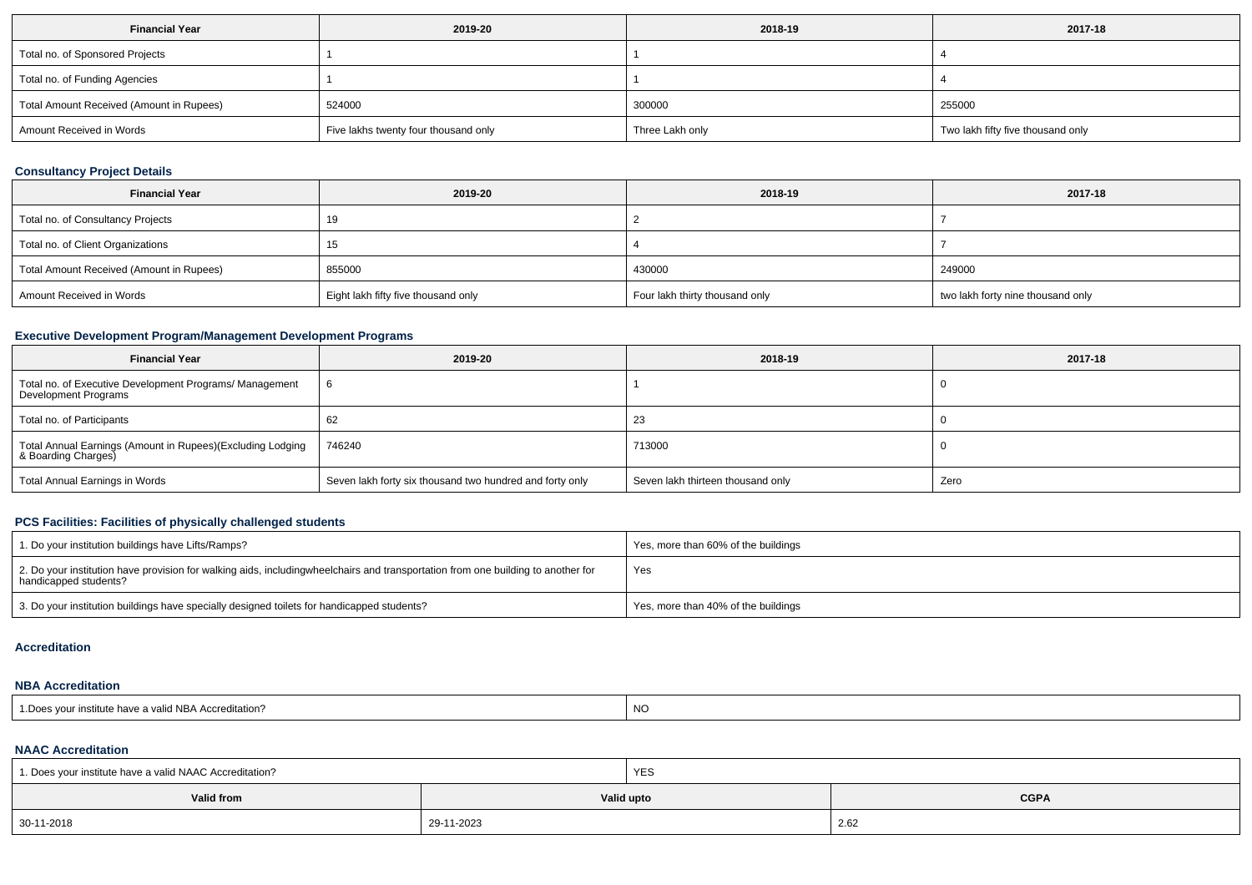| <b>Financial Year</b>                    | 2019-20                              | 2018-19         | 2017-18                           |
|------------------------------------------|--------------------------------------|-----------------|-----------------------------------|
| Total no. of Sponsored Projects          |                                      |                 |                                   |
| Total no. of Funding Agencies            |                                      |                 |                                   |
| Total Amount Received (Amount in Rupees) | 524000                               | 300000          | 255000                            |
| Amount Received in Words                 | Five lakhs twenty four thousand only | Three Lakh only | Two lakh fifty five thousand only |

## **Consultancy Project Details**

| <b>Financial Year</b>                    | 2019-20                             | 2018-19                        | 2017-18                           |
|------------------------------------------|-------------------------------------|--------------------------------|-----------------------------------|
| Total no. of Consultancy Projects        | 19                                  |                                |                                   |
| Total no. of Client Organizations        | 15                                  |                                |                                   |
| Total Amount Received (Amount in Rupees) | 855000                              | 430000                         | 249000                            |
| Amount Received in Words                 | Eight lakh fifty five thousand only | Four lakh thirty thousand only | two lakh forty nine thousand only |

### **Executive Development Program/Management Development Programs**

| <b>Financial Year</b>                                                               | 2019-20                                                  | 2018-19                           | 2017-18 |
|-------------------------------------------------------------------------------------|----------------------------------------------------------|-----------------------------------|---------|
| Total no. of Executive Development Programs/ Management<br>Development Programs     |                                                          |                                   |         |
| Total no. of Participants                                                           | 62                                                       | 23                                |         |
| Total Annual Earnings (Amount in Rupees)(Excluding Lodging<br>  & Boarding Charges) | 746240                                                   | 713000                            |         |
| Total Annual Earnings in Words                                                      | Seven lakh forty six thousand two hundred and forty only | Seven lakh thirteen thousand only | Zero    |

## **PCS Facilities: Facilities of physically challenged students**

| 1. Do your institution buildings have Lifts/Ramps?                                                                                                        | Yes, more than 60% of the buildings |
|-----------------------------------------------------------------------------------------------------------------------------------------------------------|-------------------------------------|
| 2. Do your institution have provision for walking aids, includingwheelchairs and transportation from one building to another for<br>handicapped students? | Yes                                 |
| 3. Do your institution buildings have specially designed toilets for handicapped students?                                                                | Yes, more than 40% of the buildings |

#### **Accreditation**

#### **NBA Accreditation**

| <b>NO</b><br>e have a valid NBA Accreditation?<br>l Does<br>vour institute |
|----------------------------------------------------------------------------|
|----------------------------------------------------------------------------|

#### **NAAC Accreditation**

| 1. Does your institute have a valid NAAC Accreditation? |            | YES        |             |  |  |  |
|---------------------------------------------------------|------------|------------|-------------|--|--|--|
| Valid from                                              |            | Valid upto | <b>CGPA</b> |  |  |  |
| 30-11-2018                                              | 29-11-2023 |            | 2.62        |  |  |  |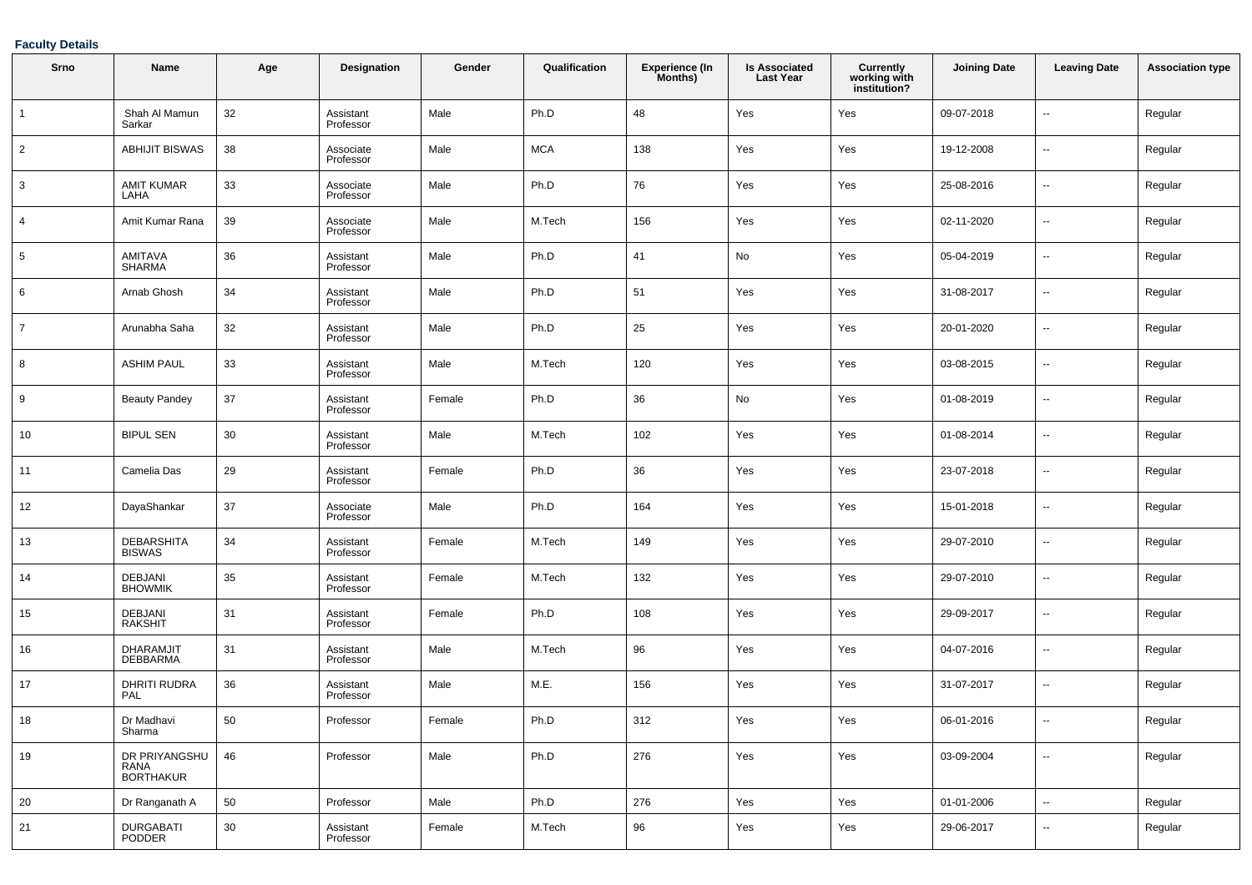### **Faculty Details**

| Srno           | Name                                | Age    | Designation            | Gender | Qualification | <b>Experience (In</b><br>Months) | <b>Is Associated</b><br><b>Last Year</b> | Currently<br>working with<br>institution? | <b>Joining Date</b> | <b>Leaving Date</b>      | <b>Association type</b> |
|----------------|-------------------------------------|--------|------------------------|--------|---------------|----------------------------------|------------------------------------------|-------------------------------------------|---------------------|--------------------------|-------------------------|
| $\overline{1}$ | Shah Al Mamun<br>Sarkar             | 32     | Assistant<br>Professor | Male   | Ph.D          | 48                               | Yes                                      | Yes                                       | 09-07-2018          | --                       | Regular                 |
| $\overline{2}$ | <b>ABHIJIT BISWAS</b>               | 38     | Associate<br>Professor | Male   | <b>MCA</b>    | 138                              | Yes                                      | Yes                                       | 19-12-2008          | $\overline{\phantom{a}}$ | Regular                 |
| 3              | <b>AMIT KUMAR</b><br>LAHA           | 33     | Associate<br>Professor | Male   | Ph.D          | 76                               | Yes                                      | Yes                                       | 25-08-2016          | --                       | Regular                 |
| 4              | Amit Kumar Rana                     | 39     | Associate<br>Professor | Male   | M.Tech        | 156                              | Yes                                      | Yes                                       | 02-11-2020          | --                       | Regular                 |
| 5              | AMITAVA<br><b>SHARMA</b>            | 36     | Assistant<br>Professor | Male   | Ph.D          | 41                               | No                                       | Yes                                       | 05-04-2019          | $\overline{\phantom{a}}$ | Regular                 |
| 6              | Arnab Ghosh                         | 34     | Assistant<br>Professor | Male   | Ph.D          | 51                               | Yes                                      | Yes                                       | 31-08-2017          | --                       | Regular                 |
| $\overline{7}$ | Arunabha Saha                       | 32     | Assistant<br>Professor | Male   | Ph.D          | 25                               | Yes                                      | Yes                                       | 20-01-2020          | --                       | Regular                 |
| 8              | <b>ASHIM PAUL</b>                   | 33     | Assistant<br>Professor | Male   | M.Tech        | 120                              | Yes                                      | Yes                                       | 03-08-2015          | $\overline{\phantom{a}}$ | Regular                 |
| 9              | <b>Beauty Pandey</b>                | 37     | Assistant<br>Professor | Female | Ph.D          | 36                               | No                                       | Yes                                       | 01-08-2019          | --                       | Regular                 |
| 10             | <b>BIPUL SEN</b>                    | 30     | Assistant<br>Professor | Male   | M.Tech        | 102                              | Yes                                      | Yes                                       | 01-08-2014          | --                       | Regular                 |
| 11             | Camelia Das                         | 29     | Assistant<br>Professor | Female | Ph.D          | 36                               | Yes                                      | Yes                                       | 23-07-2018          | $\overline{\phantom{a}}$ | Regular                 |
| 12             | DayaShankar                         | 37     | Associate<br>Professor | Male   | Ph.D          | 164                              | Yes                                      | Yes                                       | 15-01-2018          | --                       | Regular                 |
| 13             | <b>DEBARSHITA</b><br><b>BISWAS</b>  | 34     | Assistant<br>Professor | Female | M.Tech        | 149                              | Yes                                      | Yes                                       | 29-07-2010          | --                       | Regular                 |
| 14             | <b>DEBJANI</b><br><b>BHOWMIK</b>    | 35     | Assistant<br>Professor | Female | M.Tech        | 132                              | Yes                                      | Yes                                       | 29-07-2010          | $\overline{\phantom{a}}$ | Regular                 |
| 15             | <b>DEBJANI</b><br><b>RAKSHIT</b>    | 31     | Assistant<br>Professor | Female | Ph.D          | 108                              | Yes                                      | Yes                                       | 29-09-2017          | --                       | Regular                 |
| 16             | <b>DHARAMJIT</b><br><b>DEBBARMA</b> | 31     | Assistant<br>Professor | Male   | M.Tech        | 96                               | Yes                                      | Yes                                       | 04-07-2016          | --                       | Regular                 |
| 17             | <b>DHRITI RUDRA</b><br>PAL          | 36     | Assistant<br>Professor | Male   | M.E.          | 156                              | Yes                                      | Yes                                       | 31-07-2017          | $\overline{\phantom{a}}$ | Regular                 |
| 18             | Dr Madhavi<br>Sharma                | 50     | Professor              | Female | Ph.D          | 312                              | Yes                                      | Yes                                       | 06-01-2016          | --                       | Regular                 |
| 19             | DR PRIYANGSHU<br>RANA<br>BORTHAKUR  | 46     | Professor              | Male   | Ph.D          | 276                              | Yes                                      | Yes                                       | 03-09-2004          | $\sim$                   | Regular                 |
| 20             | Dr Ranganath A                      | 50     | Professor              | Male   | Ph.D          | 276                              | Yes                                      | Yes                                       | 01-01-2006          | $\overline{\phantom{a}}$ | Regular                 |
| 21             | DURGABATI<br>PODDER                 | $30\,$ | Assistant<br>Professor | Female | M.Tech        | 96                               | Yes                                      | Yes                                       | 29-06-2017          | н.                       | Regular                 |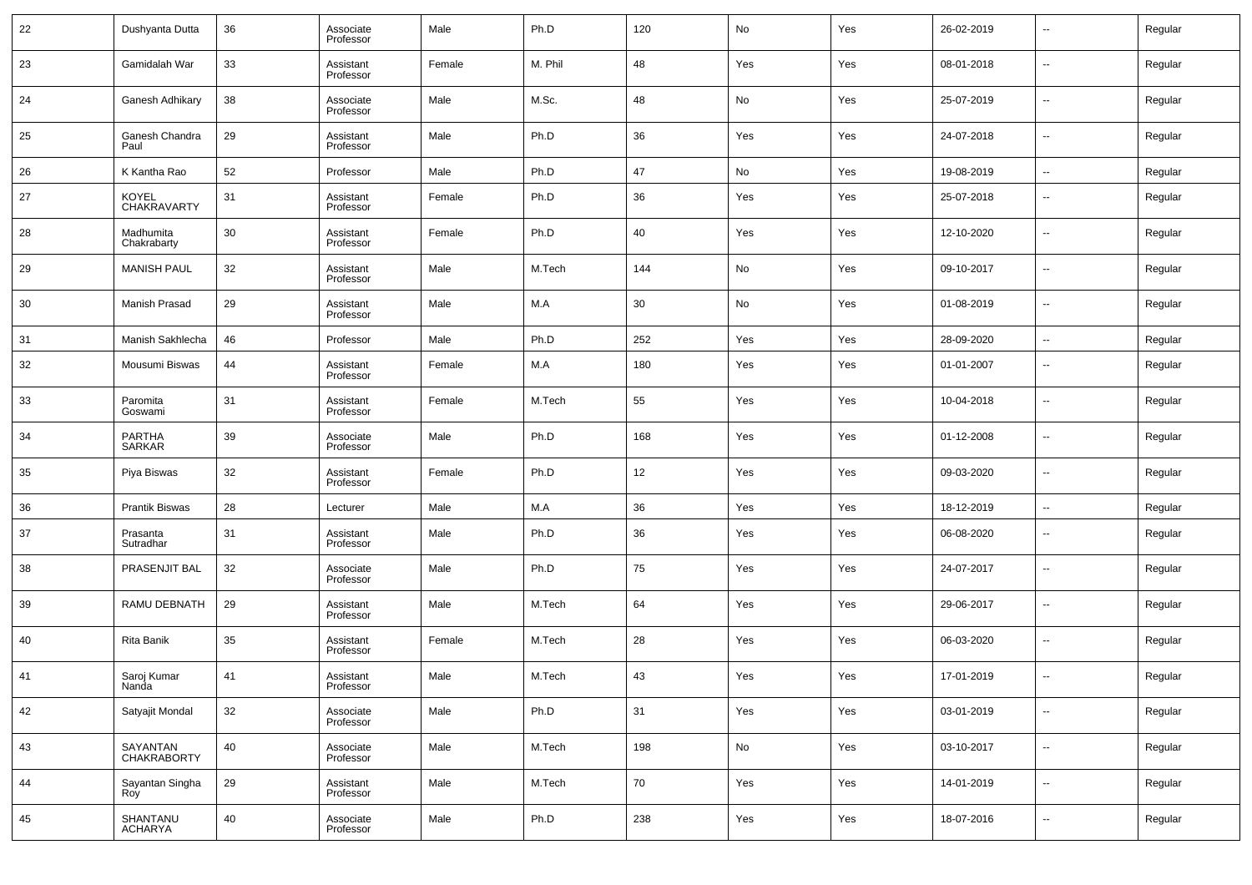| 22 | Dushyanta Dutta                | 36 | Associate<br>Professor | Male   | Ph.D    | 120 | No  | Yes | 26-02-2019 | $\overline{\phantom{a}}$ | Regular |
|----|--------------------------------|----|------------------------|--------|---------|-----|-----|-----|------------|--------------------------|---------|
| 23 | Gamidalah War                  | 33 | Assistant<br>Professor | Female | M. Phil | 48  | Yes | Yes | 08-01-2018 | $\overline{\phantom{a}}$ | Regular |
| 24 | Ganesh Adhikary                | 38 | Associate<br>Professor | Male   | M.Sc.   | 48  | No  | Yes | 25-07-2019 | $\overline{\phantom{a}}$ | Regular |
| 25 | Ganesh Chandra<br>Paul         | 29 | Assistant<br>Professor | Male   | Ph.D    | 36  | Yes | Yes | 24-07-2018 | $\overline{\phantom{a}}$ | Regular |
| 26 | K Kantha Rao                   | 52 | Professor              | Male   | Ph.D    | 47  | No  | Yes | 19-08-2019 | $\sim$                   | Regular |
| 27 | <b>KOYEL</b><br>CHAKRAVARTY    | 31 | Assistant<br>Professor | Female | Ph.D    | 36  | Yes | Yes | 25-07-2018 | $\overline{\phantom{a}}$ | Regular |
| 28 | Madhumita<br>Chakrabarty       | 30 | Assistant<br>Professor | Female | Ph.D    | 40  | Yes | Yes | 12-10-2020 | $\overline{\phantom{a}}$ | Regular |
| 29 | <b>MANISH PAUL</b>             | 32 | Assistant<br>Professor | Male   | M.Tech  | 144 | No  | Yes | 09-10-2017 | $\overline{\phantom{a}}$ | Regular |
| 30 | Manish Prasad                  | 29 | Assistant<br>Professor | Male   | M.A     | 30  | No  | Yes | 01-08-2019 | $\overline{\phantom{a}}$ | Regular |
| 31 | Manish Sakhlecha               | 46 | Professor              | Male   | Ph.D    | 252 | Yes | Yes | 28-09-2020 | $\overline{\phantom{a}}$ | Regular |
| 32 | Mousumi Biswas                 | 44 | Assistant<br>Professor | Female | M.A     | 180 | Yes | Yes | 01-01-2007 | $\overline{\phantom{a}}$ | Regular |
| 33 | Paromita<br>Goswami            | 31 | Assistant<br>Professor | Female | M.Tech  | 55  | Yes | Yes | 10-04-2018 | $\overline{\phantom{a}}$ | Regular |
| 34 | <b>PARTHA</b><br><b>SARKAR</b> | 39 | Associate<br>Professor | Male   | Ph.D    | 168 | Yes | Yes | 01-12-2008 | $\overline{\phantom{a}}$ | Regular |
| 35 | Piya Biswas                    | 32 | Assistant<br>Professor | Female | Ph.D    | 12  | Yes | Yes | 09-03-2020 | $\overline{\phantom{a}}$ | Regular |
| 36 | Prantik Biswas                 | 28 | Lecturer               | Male   | M.A     | 36  | Yes | Yes | 18-12-2019 | $\sim$                   | Regular |
| 37 | Prasanta<br>Sutradhar          | 31 | Assistant<br>Professor | Male   | Ph.D    | 36  | Yes | Yes | 06-08-2020 | $\overline{\phantom{a}}$ | Regular |
| 38 | PRASENJIT BAL                  | 32 | Associate<br>Professor | Male   | Ph.D    | 75  | Yes | Yes | 24-07-2017 | $\overline{\phantom{a}}$ | Regular |
| 39 | RAMU DEBNATH                   | 29 | Assistant<br>Professor | Male   | M.Tech  | 64  | Yes | Yes | 29-06-2017 | $\overline{\phantom{a}}$ | Regular |
| 40 | Rita Banik                     | 35 | Assistant<br>Professor | Female | M.Tech  | 28  | Yes | Yes | 06-03-2020 | $\overline{\phantom{a}}$ | Regular |
| 41 | Saroj Kumar<br>Nanda           | 41 | Assistant<br>Professor | Male   | M.Tech  | 43  | Yes | Yes | 17-01-2019 | $\overline{\phantom{a}}$ | Regular |
| 42 | Satyajit Mondal                | 32 | Associate<br>Professor | Male   | Ph.D    | 31  | Yes | Yes | 03-01-2019 | $\overline{\phantom{a}}$ | Regular |
| 43 | SAYANTAN<br>CHAKRABORTY        | 40 | Associate<br>Professor | Male   | M.Tech  | 198 | No  | Yes | 03-10-2017 | $\sim$                   | Regular |
| 44 | Sayantan Singha<br>Roy         | 29 | Assistant<br>Professor | Male   | M.Tech  | 70  | Yes | Yes | 14-01-2019 | $\sim$                   | Regular |
| 45 | SHANTANU<br>ACHARYA            | 40 | Associate<br>Professor | Male   | Ph.D    | 238 | Yes | Yes | 18-07-2016 | $\overline{\phantom{a}}$ | Regular |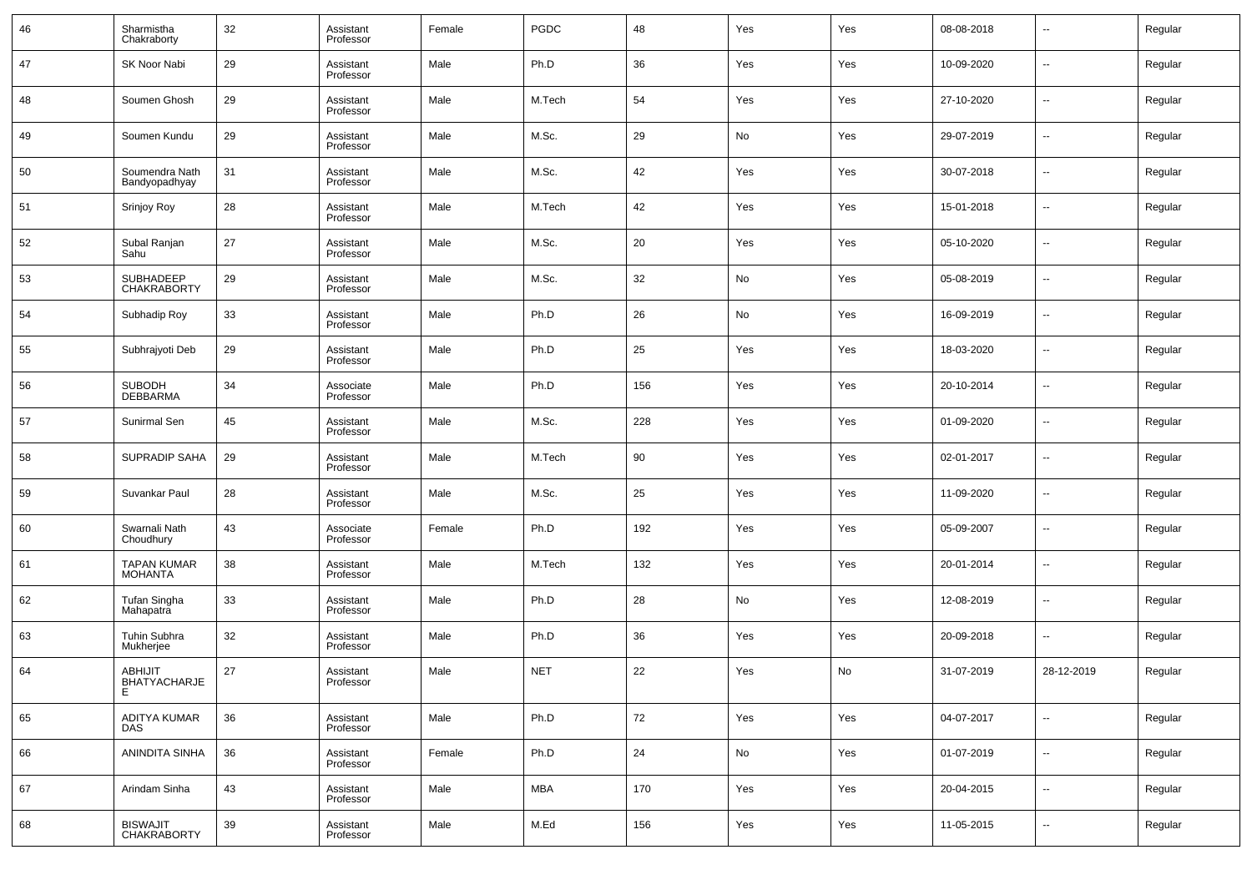| 46 | Sharmistha<br>Chakraborty       | 32 | Assistant<br>Professor | Female | PGDC       | 48  | Yes | Yes | 08-08-2018 | $\overline{\phantom{a}}$ | Regular |
|----|---------------------------------|----|------------------------|--------|------------|-----|-----|-----|------------|--------------------------|---------|
| 47 | SK Noor Nabi                    | 29 | Assistant<br>Professor | Male   | Ph.D       | 36  | Yes | Yes | 10-09-2020 | $\overline{\phantom{a}}$ | Regular |
| 48 | Soumen Ghosh                    | 29 | Assistant<br>Professor | Male   | M.Tech     | 54  | Yes | Yes | 27-10-2020 | $\sim$                   | Regular |
| 49 | Soumen Kundu                    | 29 | Assistant<br>Professor | Male   | M.Sc.      | 29  | No  | Yes | 29-07-2019 | $\overline{\phantom{a}}$ | Regular |
| 50 | Soumendra Nath<br>Bandyopadhyay | 31 | Assistant<br>Professor | Male   | M.Sc.      | 42  | Yes | Yes | 30-07-2018 | $\overline{\phantom{a}}$ | Regular |
| 51 | Srinjoy Roy                     | 28 | Assistant<br>Professor | Male   | M.Tech     | 42  | Yes | Yes | 15-01-2018 | $\overline{\phantom{a}}$ | Regular |
| 52 | Subal Ranjan<br>Sahu            | 27 | Assistant<br>Professor | Male   | M.Sc.      | 20  | Yes | Yes | 05-10-2020 | $\overline{\phantom{a}}$ | Regular |
| 53 | SUBHADEEP<br><b>CHAKRABORTY</b> | 29 | Assistant<br>Professor | Male   | M.Sc.      | 32  | No  | Yes | 05-08-2019 | $\overline{\phantom{a}}$ | Regular |
| 54 | Subhadip Roy                    | 33 | Assistant<br>Professor | Male   | Ph.D       | 26  | No  | Yes | 16-09-2019 | $\overline{\phantom{a}}$ | Regular |
| 55 | Subhrajyoti Deb                 | 29 | Assistant<br>Professor | Male   | Ph.D       | 25  | Yes | Yes | 18-03-2020 | $\sim$                   | Regular |
| 56 | SUBODH<br>DEBBARMA              | 34 | Associate<br>Professor | Male   | Ph.D       | 156 | Yes | Yes | 20-10-2014 | --                       | Regular |
| 57 | Sunirmal Sen                    | 45 | Assistant<br>Professor | Male   | M.Sc.      | 228 | Yes | Yes | 01-09-2020 | $\overline{\phantom{a}}$ | Regular |
| 58 | <b>SUPRADIP SAHA</b>            | 29 | Assistant<br>Professor | Male   | M.Tech     | 90  | Yes | Yes | 02-01-2017 | --                       | Regular |
| 59 | Suvankar Paul                   | 28 | Assistant<br>Professor | Male   | M.Sc.      | 25  | Yes | Yes | 11-09-2020 | $\overline{\phantom{a}}$ | Regular |
| 60 | Swarnali Nath<br>Choudhury      | 43 | Associate<br>Professor | Female | Ph.D       | 192 | Yes | Yes | 05-09-2007 | --                       | Regular |
| 61 | TAPAN KUMAR<br><b>MOHANTA</b>   | 38 | Assistant<br>Professor | Male   | M.Tech     | 132 | Yes | Yes | 20-01-2014 | --                       | Regular |
| 62 | Tufan Singha<br>Mahapatra       | 33 | Assistant<br>Professor | Male   | Ph.D       | 28  | No  | Yes | 12-08-2019 | $\overline{\phantom{a}}$ | Regular |
| 63 | Tuhin Subhra<br>Mukherjee       | 32 | Assistant<br>Professor | Male   | Ph.D       | 36  | Yes | Yes | 20-09-2018 | $\overline{\phantom{a}}$ | Regular |
| 64 | ABHIJIT<br>BHATYACHARJE<br>E    | 27 | Assistant<br>Professor | Male   | <b>NET</b> | 22  | Yes | No  | 31-07-2019 | 28-12-2019               | Regular |
| 65 | ADITYA KUMAR<br>DAS             | 36 | Assistant<br>Professor | Male   | Ph.D       | 72  | Yes | Yes | 04-07-2017 | $\sim$                   | Regular |
| 66 | ANINDITA SINHA                  | 36 | Assistant<br>Professor | Female | Ph.D       | 24  | No  | Yes | 01-07-2019 | $\sim$                   | Regular |
| 67 | Arindam Sinha                   | 43 | Assistant<br>Professor | Male   | <b>MBA</b> | 170 | Yes | Yes | 20-04-2015 | $\sim$                   | Regular |
| 68 | BISWAJIT<br>CHAKRABORTY         | 39 | Assistant<br>Professor | Male   | M.Ed       | 156 | Yes | Yes | 11-05-2015 | $\sim$                   | Regular |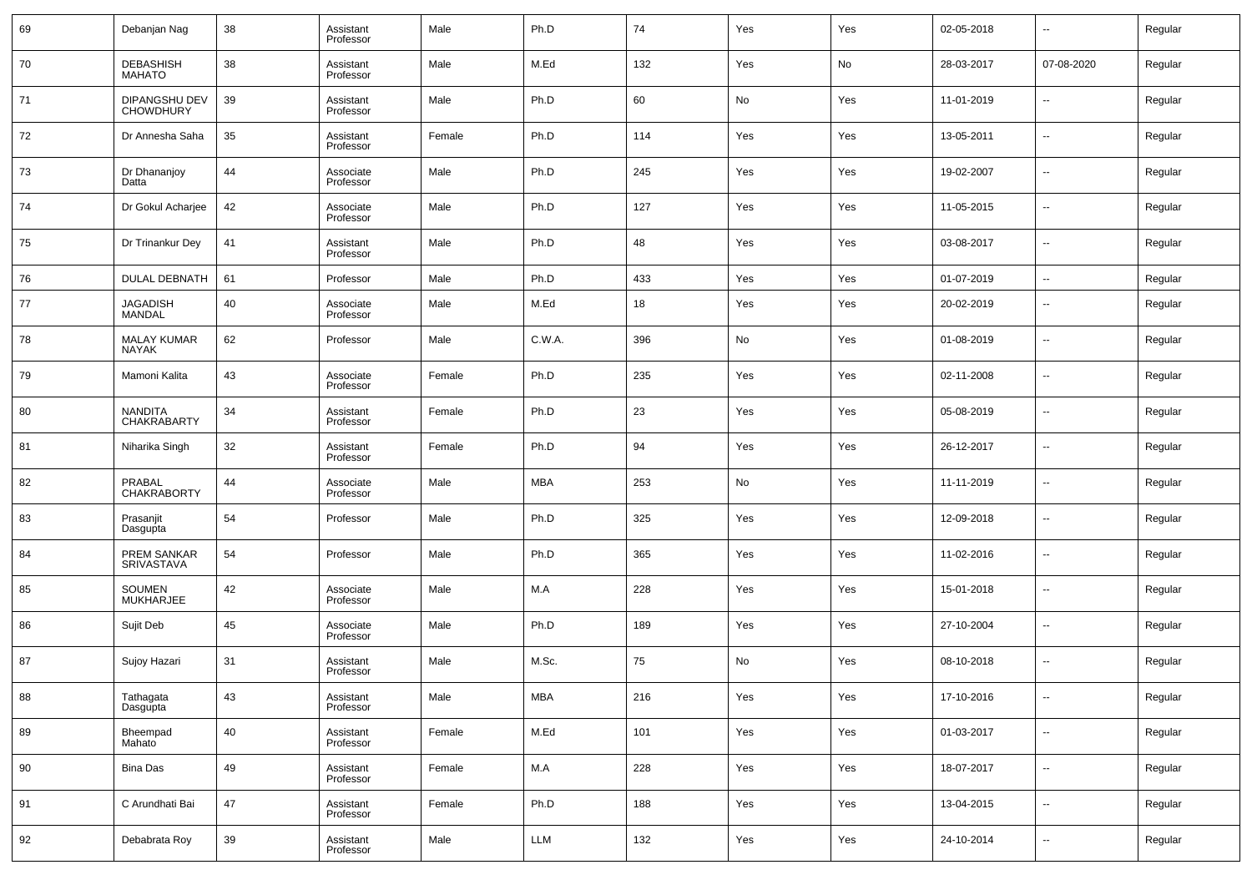| 69 | Debanjan Nag                       | 38 | Assistant<br>Professor | Male   | Ph.D       | 74  | Yes | Yes | 02-05-2018 | $\overline{\phantom{a}}$ | Regular |
|----|------------------------------------|----|------------------------|--------|------------|-----|-----|-----|------------|--------------------------|---------|
| 70 | DEBASHISH<br>MAHATO                | 38 | Assistant<br>Professor | Male   | M.Ed       | 132 | Yes | No  | 28-03-2017 | 07-08-2020               | Regular |
| 71 | DIPANGSHU DEV<br><b>CHOWDHURY</b>  | 39 | Assistant<br>Professor | Male   | Ph.D       | 60  | No  | Yes | 11-01-2019 | $\ddotsc$                | Regular |
| 72 | Dr Annesha Saha                    | 35 | Assistant<br>Professor | Female | Ph.D       | 114 | Yes | Yes | 13-05-2011 | $\overline{\phantom{a}}$ | Regular |
| 73 | Dr Dhananjoy<br>Datta              | 44 | Associate<br>Professor | Male   | Ph.D       | 245 | Yes | Yes | 19-02-2007 | $\overline{\phantom{a}}$ | Regular |
| 74 | Dr Gokul Acharjee                  | 42 | Associate<br>Professor | Male   | Ph.D       | 127 | Yes | Yes | 11-05-2015 | $\overline{\phantom{a}}$ | Regular |
| 75 | Dr Trinankur Dey                   | 41 | Assistant<br>Professor | Male   | Ph.D       | 48  | Yes | Yes | 03-08-2017 | $\overline{\phantom{a}}$ | Regular |
| 76 | DULAL DEBNATH                      | 61 | Professor              | Male   | Ph.D       | 433 | Yes | Yes | 01-07-2019 | $\overline{\phantom{a}}$ | Regular |
| 77 | JAGADISH<br><b>MANDAL</b>          | 40 | Associate<br>Professor | Male   | M.Ed       | 18  | Yes | Yes | 20-02-2019 | $\sim$                   | Regular |
| 78 | <b>MALAY KUMAR</b><br><b>NAYAK</b> | 62 | Professor              | Male   | C.W.A.     | 396 | No  | Yes | 01-08-2019 | $\sim$                   | Regular |
| 79 | Mamoni Kalita                      | 43 | Associate<br>Professor | Female | Ph.D       | 235 | Yes | Yes | 02-11-2008 | $\overline{\phantom{a}}$ | Regular |
| 80 | NANDITA<br>CHAKRABARTY             | 34 | Assistant<br>Professor | Female | Ph.D       | 23  | Yes | Yes | 05-08-2019 | $\sim$                   | Regular |
| 81 | Niharika Singh                     | 32 | Assistant<br>Professor | Female | Ph.D       | 94  | Yes | Yes | 26-12-2017 | $\overline{\phantom{a}}$ | Regular |
| 82 | PRABAL<br><b>CHAKRABORTY</b>       | 44 | Associate<br>Professor | Male   | <b>MBA</b> | 253 | No  | Yes | 11-11-2019 | $\sim$                   | Regular |
| 83 | Prasanjit<br>Dasgupta              | 54 | Professor              | Male   | Ph.D       | 325 | Yes | Yes | 12-09-2018 | $\sim$                   | Regular |
| 84 | PREM SANKAR<br>SRIVASTAVA          | 54 | Professor              | Male   | Ph.D       | 365 | Yes | Yes | 11-02-2016 | $\sim$                   | Regular |
| 85 | SOUMEN<br><b>MUKHARJEE</b>         | 42 | Associate<br>Professor | Male   | M.A        | 228 | Yes | Yes | 15-01-2018 | $\sim$                   | Regular |
| 86 | Sujit Deb                          | 45 | Associate<br>Professor | Male   | Ph.D       | 189 | Yes | Yes | 27-10-2004 | $\sim$                   | Regular |
| 87 | Sujoy Hazari                       | 31 | Assistant<br>Professor | Male   | M.Sc.      | 75  | No  | Yes | 08-10-2018 | $\sim$                   | Regular |
| 88 | Tathagata<br>Dasgupta              | 43 | Assistant<br>Professor | Male   | <b>MBA</b> | 216 | Yes | Yes | 17-10-2016 | $\sim$                   | Regular |
| 89 | Bheempad<br>Mahato                 | 40 | Assistant<br>Professor | Female | M.Ed       | 101 | Yes | Yes | 01-03-2017 | $\overline{\phantom{a}}$ | Regular |
| 90 | <b>Bina Das</b>                    | 49 | Assistant<br>Professor | Female | M.A        | 228 | Yes | Yes | 18-07-2017 | $\overline{\phantom{a}}$ | Regular |
| 91 | C Arundhati Bai                    | 47 | Assistant<br>Professor | Female | Ph.D       | 188 | Yes | Yes | 13-04-2015 | $\overline{\phantom{a}}$ | Regular |
| 92 | Debabrata Roy                      | 39 | Assistant<br>Professor | Male   | <b>LLM</b> | 132 | Yes | Yes | 24-10-2014 | $\overline{\phantom{a}}$ | Regular |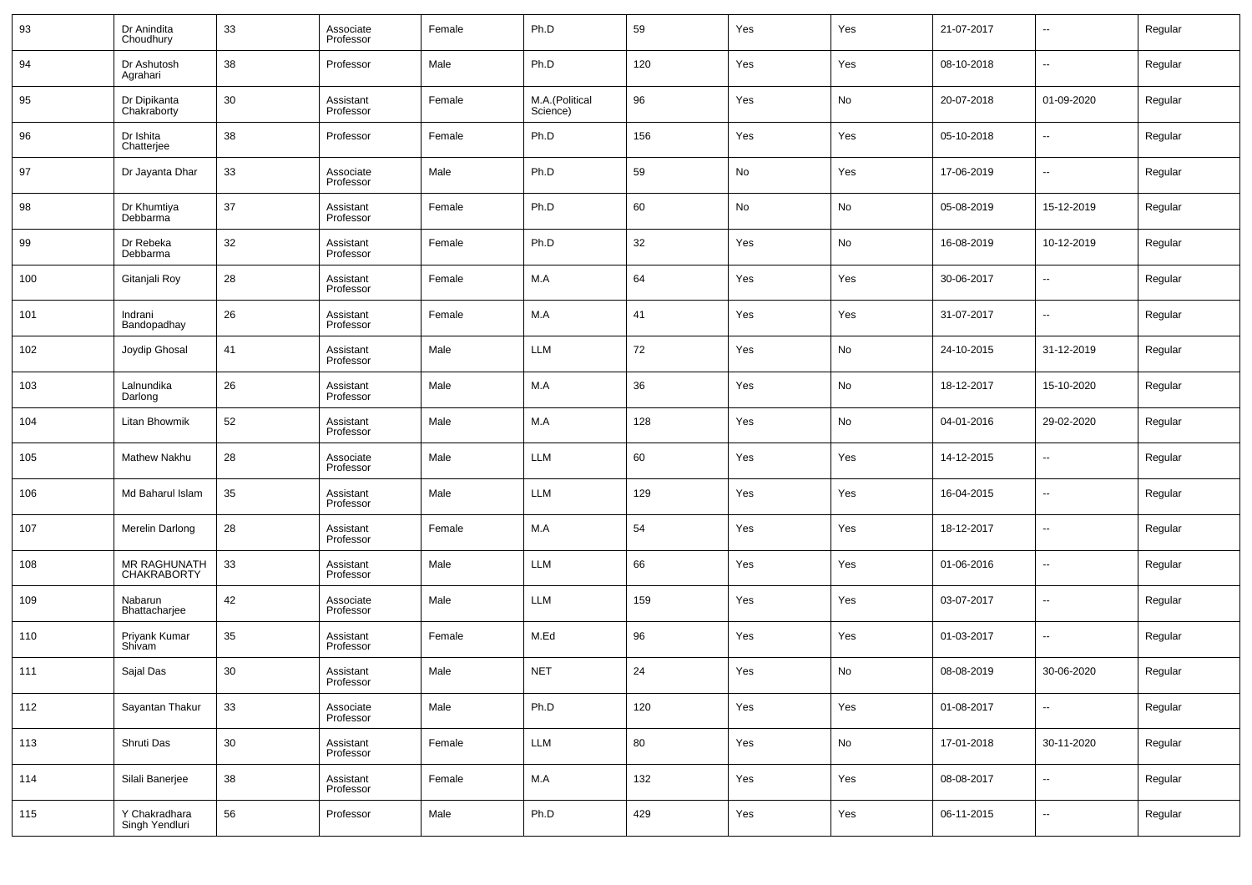| 93  | Dr Anindita<br>Choudhury           | 33     | Associate<br>Professor | Female | Ph.D                       | 59  | Yes | Yes | 21-07-2017 | $\overline{\phantom{a}}$ | Regular |
|-----|------------------------------------|--------|------------------------|--------|----------------------------|-----|-----|-----|------------|--------------------------|---------|
| 94  | Dr Ashutosh<br>Agrahari            | 38     | Professor              | Male   | Ph.D                       | 120 | Yes | Yes | 08-10-2018 | $\overline{\phantom{a}}$ | Regular |
| 95  | Dr Dipikanta<br>Chakraborty        | 30     | Assistant<br>Professor | Female | M.A.(Political<br>Science) | 96  | Yes | No  | 20-07-2018 | 01-09-2020               | Regular |
| 96  | Dr Ishita<br>Chatterjee            | 38     | Professor              | Female | Ph.D                       | 156 | Yes | Yes | 05-10-2018 | $\overline{\phantom{a}}$ | Regular |
| 97  | Dr Jayanta Dhar                    | 33     | Associate<br>Professor | Male   | Ph.D                       | 59  | No  | Yes | 17-06-2019 | $\overline{\phantom{a}}$ | Regular |
| 98  | Dr Khumtiya<br>Debbarma            | 37     | Assistant<br>Professor | Female | Ph.D                       | 60  | No  | No  | 05-08-2019 | 15-12-2019               | Regular |
| 99  | Dr Rebeka<br>Debbarma              | 32     | Assistant<br>Professor | Female | Ph.D                       | 32  | Yes | No  | 16-08-2019 | 10-12-2019               | Regular |
| 100 | Gitanjali Roy                      | 28     | Assistant<br>Professor | Female | M.A                        | 64  | Yes | Yes | 30-06-2017 | $\overline{\phantom{a}}$ | Regular |
| 101 | Indrani<br>Bandopadhay             | 26     | Assistant<br>Professor | Female | M.A                        | 41  | Yes | Yes | 31-07-2017 | $\overline{\phantom{a}}$ | Regular |
| 102 | Joydip Ghosal                      | 41     | Assistant<br>Professor | Male   | LLM                        | 72  | Yes | No  | 24-10-2015 | 31-12-2019               | Regular |
| 103 | Lalnundika<br>Darlong              | 26     | Assistant<br>Professor | Male   | M.A                        | 36  | Yes | No  | 18-12-2017 | 15-10-2020               | Regular |
| 104 | Litan Bhowmik                      | 52     | Assistant<br>Professor | Male   | M.A                        | 128 | Yes | No  | 04-01-2016 | 29-02-2020               | Regular |
| 105 | <b>Mathew Nakhu</b>                | 28     | Associate<br>Professor | Male   | LLM                        | 60  | Yes | Yes | 14-12-2015 | $\overline{\phantom{a}}$ | Regular |
| 106 | Md Baharul Islam                   | 35     | Assistant<br>Professor | Male   | LLM                        | 129 | Yes | Yes | 16-04-2015 | $\overline{\phantom{a}}$ | Regular |
| 107 | Merelin Darlong                    | 28     | Assistant<br>Professor | Female | M.A                        | 54  | Yes | Yes | 18-12-2017 | $\overline{\phantom{a}}$ | Regular |
| 108 | MR RAGHUNATH<br><b>CHAKRABORTY</b> | 33     | Assistant<br>Professor | Male   | LLM                        | 66  | Yes | Yes | 01-06-2016 | $\overline{\phantom{a}}$ | Regular |
| 109 | Nabarun<br>Bhattacharjee           | 42     | Associate<br>Professor | Male   | LLM                        | 159 | Yes | Yes | 03-07-2017 | $\overline{\phantom{a}}$ | Regular |
| 110 | Priyank Kumar<br>Shivam            | 35     | Assistant<br>Professor | Female | M.Ed                       | 96  | Yes | Yes | 01-03-2017 | $\overline{\phantom{a}}$ | Regular |
| 111 | Sajal Das                          | 30     | Assistant<br>Professor | Male   | <b>NET</b>                 | 24  | Yes | No  | 08-08-2019 | 30-06-2020               | Regular |
| 112 | Sayantan Thakur                    | 33     | Associate<br>Professor | Male   | Ph.D                       | 120 | Yes | Yes | 01-08-2017 | $\overline{\phantom{a}}$ | Regular |
| 113 | Shruti Das                         | $30\,$ | Assistant<br>Professor | Female | LLM                        | 80  | Yes | No  | 17-01-2018 | 30-11-2020               | Regular |
| 114 | Silali Banerjee                    | 38     | Assistant<br>Professor | Female | M.A                        | 132 | Yes | Yes | 08-08-2017 | $\overline{\phantom{a}}$ | Regular |
| 115 | Y Chakradhara<br>Singh Yendluri    | 56     | Professor              | Male   | Ph.D                       | 429 | Yes | Yes | 06-11-2015 | $\overline{\phantom{a}}$ | Regular |